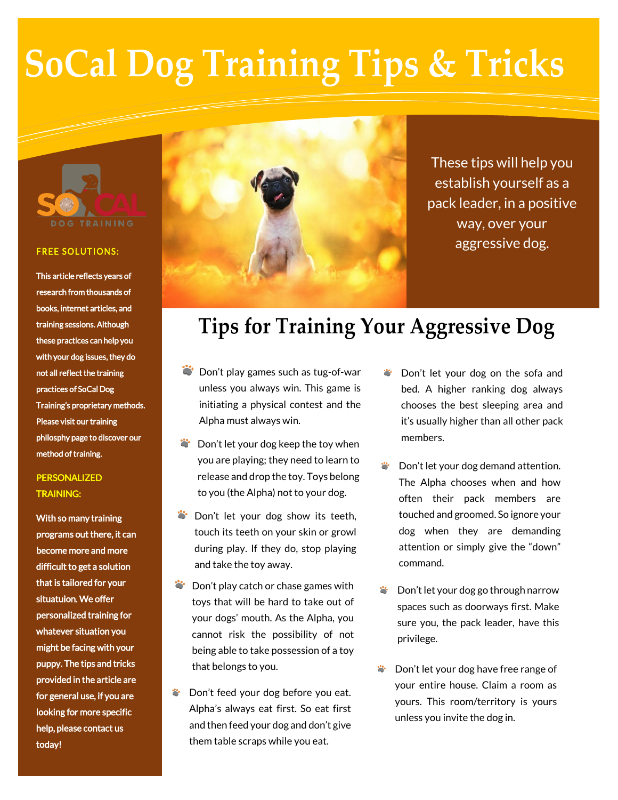# **SoCal Dog Training Tips & Tricks**



#### **FREE SOLUTIONS:**

This article reflects years of research from thousands of books, internet articles, and training sessions. Although these practices can help you with your dog issues, they do not all reflect the training practices of SoCal Dog Training's proprietary methods. Please visit our training philosphy page to discover our method of training.

### **PERSONALIZED** TRAINING:

With so many training programs out there, it can become more and more difficult to get a solution that is tailored for your situatuion. We offer personalized training for whatever situation you might be facing with your puppy. The tips and tricks provided in the article are for general use, if you are looking for more specific help, please contact us today!



These tips will help you establish yourself as a pack leader, in a positive way, over your aggressive dog.

## **Tips for Training Your Aggressive Dog**

- Don't play games such as tug-of-war unless you always win. This game is initiating a physical contest and the Alpha must always win.
- **C**: Don't let your dog keep the toy when you are playing; they need to learn to release and drop the toy. Toys belong to you (the Alpha) not to your dog.
- Don't let your dog show its teeth, touch its teeth on your skin or growl during play. If they do, stop playing and take the toy away.
- Don't play catch or chase games with toys that will be hard to take out of your dogs' mouth. As the Alpha, you cannot risk the possibility of not being able to take possession of a toy that belongs to you.
- Don't feed your dog before you eat. Ö. Alpha's always eat first. So eat first and then feed your dog and don't give them table scraps while you eat.
- Don't let your dog on the sofa and bed. A higher ranking dog always chooses the best sleeping area and it's usually higher than all other pack members.
- Don't let your dog demand attention. The Alpha chooses when and how often their pack members are touched and groomed. So ignore your dog when they are demanding attention or simply give the "down" command.
- Don't let your dog go through narrow spaces such as doorways first. Make sure you, the pack leader, have this privilege.
- Don't let your dog have free range of your entire house. Claim a room as yours. This room/territory is yours unless you invite the dog in.